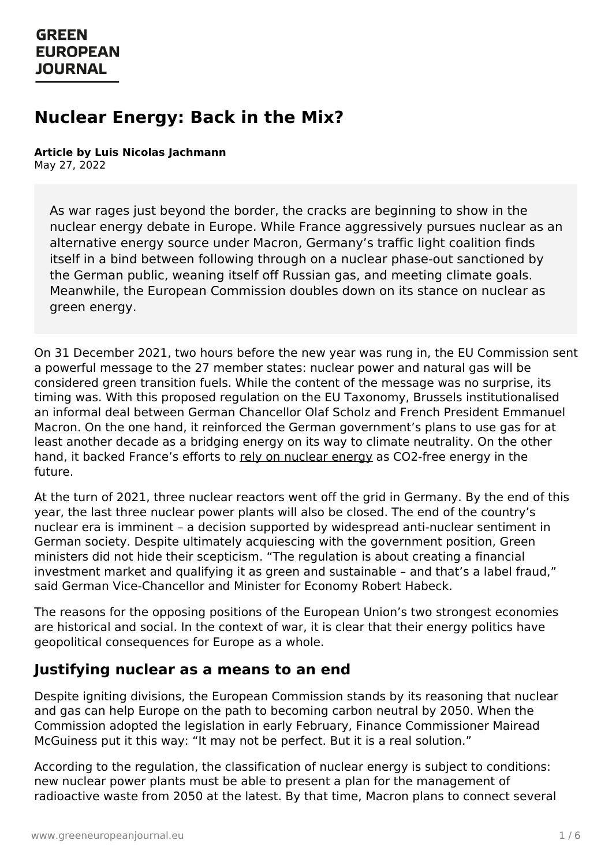# **Nuclear Energy: Back in the Mix?**

#### **Article by Luis Nicolas Jachmann** May 27, 2022

As war rages just beyond the border, the cracks are beginning to show in the nuclear energy debate in Europe. While France aggressively pursues nuclear as an alternative energy source under Macron, Germany's traffic light coalition finds itself in a bind between following through on a nuclear phase-out sanctioned by the German public, weaning itself off Russian gas, and meeting climate goals. Meanwhile, the European Commission doubles down on its stance on nuclear as green energy.

On 31 December 2021, two hours before the new year was rung in, the EU Commission sent a powerful message to the 27 member states: nuclear power and natural gas will be considered green transition fuels. While the content of the message was no surprise, its timing was. With this proposed regulation on the EU Taxonomy, Brussels institutionalised an informal deal between German Chancellor Olaf Scholz and French President Emmanuel Macron. On the one hand, it reinforced the German government's plans to use gas for at least another decade as a bridging energy on its way to climate neutrality. On the other hand, it backed France's efforts to rely on [nuclear](https://www.lemonde.fr/les-decodeurs/article/2022/01/24/l-independance-energetique-de-la-france-grace-au-nucleaire-un-tour-de-passe-passe-statistique-et-100-d-importation_6110781_4355770.html#xtor=AL-32280270) energy as CO2-free energy in the future.

At the turn of 2021, three nuclear reactors went off the grid in Germany. By the end of this year, the last three nuclear power plants will also be closed. The end of the country's nuclear era is imminent – a decision supported by widespread anti-nuclear sentiment in German society. Despite ultimately acquiescing with the government position, Green ministers did not hide their scepticism. "The regulation is about creating a financial investment market and qualifying it as green and sustainable – and that's a label fraud," said German Vice-Chancellor and Minister for Economy Robert Habeck.

The reasons for the opposing positions of the European Union's two strongest economies are historical and social. In the context of war, it is clear that their energy politics have geopolitical consequences for Europe as a whole.

#### **Justifying nuclear as a means to an end**

Despite igniting divisions, the European Commission stands by its reasoning that nuclear and gas can help Europe on the path to becoming carbon neutral by 2050. When the [Commission](https://www.greeneuropeanjournal.eu) adopted the legislation in early February, Finance Commissioner Mairead McGuiness put it this way: "It may not be perfect. But it is a real solution."

According to the regulation, the classification of nuclear energy is subject to conditions: new nuclear power plants must be able to present a plan for the management of radioactive waste from 2050 at the latest. By that time, Macron plans to connect several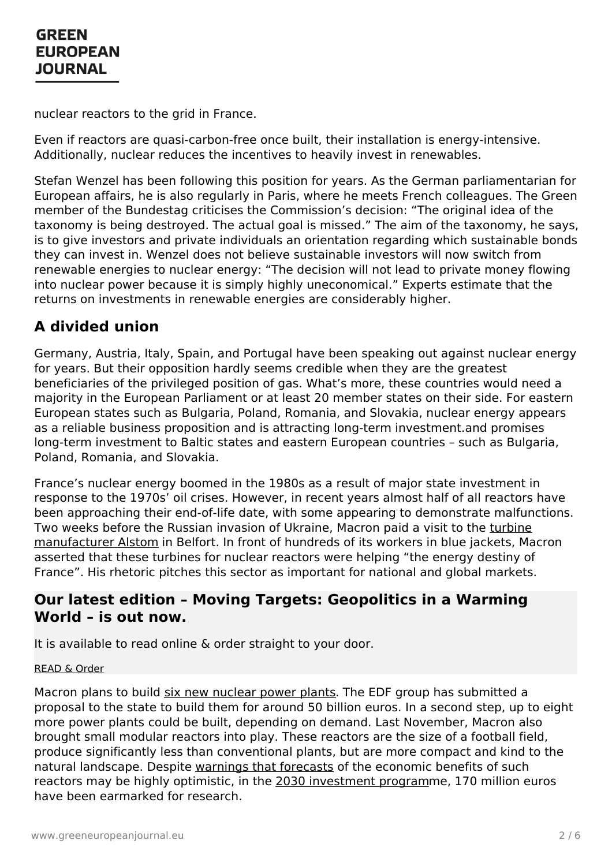nuclear reactors to the grid in France.

Even if reactors are quasi-carbon-free once built, their installation is energy-intensive. Additionally, nuclear reduces the incentives to heavily invest in renewables.

Stefan Wenzel has been following this position for years. As the German parliamentarian for European affairs, he is also regularly in Paris, where he meets French colleagues. The Green member of the Bundestag criticises the Commission's decision: "The original idea of the taxonomy is being destroyed. The actual goal is missed." The aim of the taxonomy, he says, is to give investors and private individuals an orientation regarding which sustainable bonds they can invest in. Wenzel does not believe sustainable investors will now switch from renewable energies to nuclear energy: "The decision will not lead to private money flowing into nuclear power because it is simply highly uneconomical." Experts estimate that the returns on investments in renewable energies are considerably higher.

#### **A divided union**

Germany, Austria, Italy, Spain, and Portugal have been speaking out against nuclear energy for years. But their opposition hardly seems credible when they are the greatest beneficiaries of the privileged position of gas. What's more, these countries would need a majority in the European Parliament or at least 20 member states on their side. For eastern European states such as Bulgaria, Poland, Romania, and Slovakia, nuclear energy appears as a reliable business proposition and is attracting long-term investment.and promises long-term investment to Baltic states and eastern European countries – such as Bulgaria, Poland, Romania, and Slovakia.

France's nuclear energy boomed in the 1980s as a result of major state investment in response to the 1970s' oil crises. However, in recent years almost half of all reactors have been approaching their end-of-life date, with some appearing to demonstrate malfunctions. Two weeks before the Russian invasion of Ukraine, Macron paid a visit to the turbine [manufacturer](https://www.macommune.info/nucleaire-emmanuel-macron-en-visite-a-belfort-le-10-fevrier/) Alstom in Belfort. In front of hundreds of its workers in blue jackets, Macron asserted that these turbines for nuclear reactors were helping "the energy destiny of France". His rhetoric pitches this sector as important for national and global markets.

#### **Our latest edition – Moving Targets: Geopolitics in a Warming World – is out now.**

It is available to read online & order straight to your door.

#### [READ](https://www.greeneuropeanjournal.eu/edition/moving-targets/) & Order

Macron plans to build six new [nuclear](https://www.reuters.com/business/energy/frances-edf-could-sell-renewables-focus-nuclear-bfm-2022-04-13/) power plants. The EDF group has submitted a proposal to the state to build them for around 50 billion euros. In a second step, up to eight more [power](https://www.greeneuropeanjournal.eu) plants could be built, depending on demand. Last November, Macron also brought small modular reactors into play. These reactors are the size of a football field, produce significantly less than conventional plants, but are more compact and kind to the natural landscape. Despite warnings that [forecasts](https://www.advancedsciencenews.com/small-modular-reactors-offer-no-hope-for-nuclear-energy/) of the economic benefits of such reactors may be highly optimistic, in the 2030 [investment](https://www.france24.com/en/france/20211012-macron-unveils-%25E2%2582%25AC30-billion-investment-plan-to-re-industralise-france) programme, 170 million euros have been earmarked for research.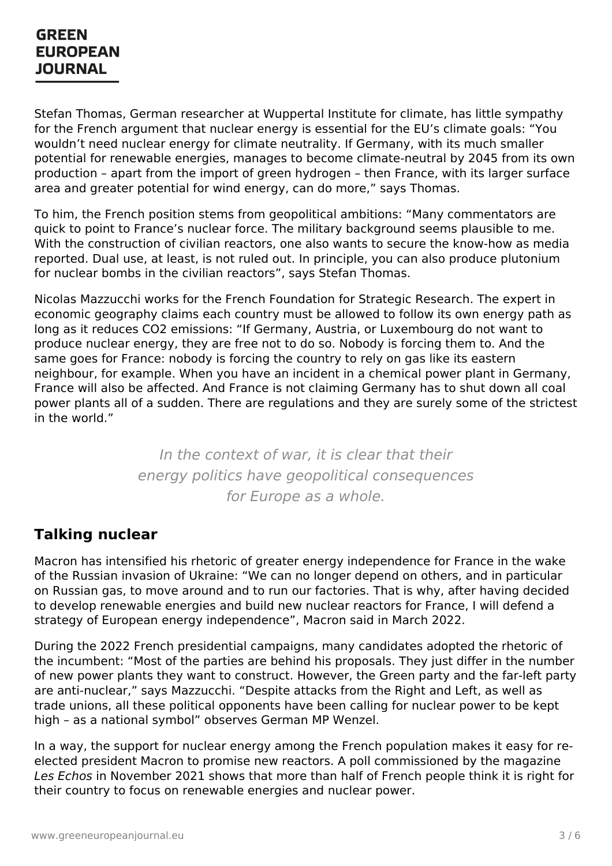Stefan Thomas, German researcher at Wuppertal Institute for climate, has little sympathy for the French argument that nuclear energy is essential for the EU's climate goals: "You wouldn't need nuclear energy for climate neutrality. If Germany, with its much smaller potential for renewable energies, manages to become climate-neutral by 2045 from its own production – apart from the import of green hydrogen – then France, with its larger surface area and greater potential for wind energy, can do more," says Thomas.

To him, the French position stems from geopolitical ambitions: "Many commentators are quick to point to France's nuclear force. The military background seems plausible to me. With the construction of civilian reactors, one also wants to secure the know-how as media reported. Dual use, at least, is not ruled out. In principle, you can also produce plutonium for nuclear bombs in the civilian reactors", says Stefan Thomas.

Nicolas Mazzucchi works for the French Foundation for Strategic Research. The expert in economic geography claims each country must be allowed to follow its own energy path as long as it reduces CO2 emissions: "If Germany, Austria, or Luxembourg do not want to produce nuclear energy, they are free not to do so. Nobody is forcing them to. And the same goes for France: nobody is forcing the country to rely on gas like its eastern neighbour, for example. When you have an incident in a chemical power plant in Germany, France will also be affected. And France is not claiming Germany has to shut down all coal power plants all of a sudden. There are regulations and they are surely some of the strictest in the world."

> In the context of war, it is clear that their energy politics have geopolitical consequences for Europe as a whole.

# **Talking nuclear**

Macron has intensified his rhetoric of greater energy independence for France in the wake of the Russian invasion of Ukraine: "We can no longer depend on others, and in particular on Russian gas, to move around and to run our factories. That is why, after having decided to develop renewable energies and build new nuclear reactors for France, I will defend a strategy of European energy independence", Macron said in March 2022.

During the 2022 French presidential campaigns, many candidates adopted the rhetoric of the incumbent: "Most of the parties are behind his proposals. They just differ in the number of new power plants they want to construct. However, the Green party and the far-left party are anti-nuclear," says Mazzucchi. "Despite attacks from the Right and Left, as well as trade unions, all these political opponents have been calling for nuclear power to be kept high – as a [national](https://www.greeneuropeanjournal.eu) symbol" observes German MP Wenzel.

In a way, the support for nuclear energy among the French population makes it easy for reelected president Macron to promise new reactors. A poll commissioned by the magazine Les Echos in November 2021 shows that more than half of French people think it is right for their country to focus on renewable energies and nuclear power.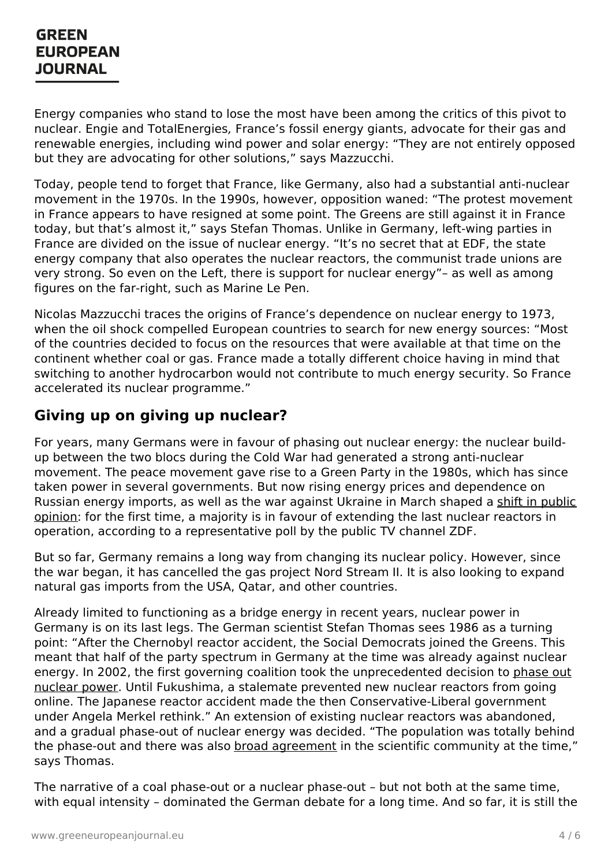Energy companies who stand to lose the most have been among the critics of this pivot to nuclear. Engie and TotalEnergies, France's fossil energy giants, advocate for their gas and renewable energies, including wind power and solar energy: "They are not entirely opposed but they are advocating for other solutions," says Mazzucchi.

Today, people tend to forget that France, like Germany, also had a substantial anti-nuclear movement in the 1970s. In the 1990s, however, opposition waned: "The protest movement in France appears to have resigned at some point. The Greens are still against it in France today, but that's almost it," says Stefan Thomas. Unlike in Germany, left-wing parties in France are divided on the issue of nuclear energy. "It's no secret that at EDF, the state energy company that also operates the nuclear reactors, the communist trade unions are very strong. So even on the Left, there is support for nuclear energy"– as well as among figures on the far-right, such as Marine Le Pen.

Nicolas Mazzucchi traces the origins of France's dependence on nuclear energy to 1973, when the oil shock compelled European countries to search for new energy sources: "Most of the countries decided to focus on the resources that were available at that time on the continent whether coal or gas. France made a totally different choice having in mind that switching to another hydrocarbon would not contribute to much energy security. So France accelerated its nuclear programme."

#### **Giving up on giving up nuclear?**

For years, many Germans were in favour of phasing out nuclear energy: the nuclear buildup between the two blocs during the Cold War had generated a strong anti-nuclear movement. The peace movement gave rise to a Green Party in the 1980s, which has since taken power in several governments. But now rising energy prices and dependence on Russian energy imports, as well as the war against Ukraine in March shaped a shift in public opinion: for the first time, a majority is in favour of [extending](https://www.rnd.de/politik/umfrage-rund-die-haelfte-der-deutschen-glaubt-an-eine-rolle-der-atomkraft-bei-der-energiewende-5H2UOMNFBSKINVSWTAFLL674Y4.html) the last nuclear reactors in operation, according to a representative poll by the public TV channel ZDF.

But so far, Germany remains a long way from changing its nuclear policy. However, since the war began, it has cancelled the gas project Nord Stream II. It is also looking to expand natural gas imports from the USA, Qatar, and other countries.

Already limited to functioning as a bridge energy in recent years, nuclear power in Germany is on its last legs. The German scientist Stefan Thomas sees 1986 as a turning point: "After the Chernobyl reactor accident, the Social Democrats joined the Greens. This meant that half of the party spectrum in Germany at the time was already against nuclear energy. In 2002, the first governing coalition took the [unprecedented](https://journals.sagepub.com/doi/full/10.1177/0096340212464360) decision to phase out nuclear power. Until Fukushima, a stalemate prevented new nuclear reactors from going online. The Japanese reactor accident made the then Conservative-Liberal government under Angela Merkel rethink." An extension of existing nuclear reactors was abandoned, and a gradual [phase-out](https://www.greeneuropeanjournal.eu) of nuclear energy was decided. "The population was totally behind the phase-out and there was also broad [agreement](https://www.tandfonline.com/doi/abs/10.1080/09644016.2011.643374?journalCode=fenp20) in the scientific community at the time," says Thomas.

The narrative of a coal phase-out or a nuclear phase-out – but not both at the same time, with equal intensity – dominated the German debate for a long time. And so far, it is still the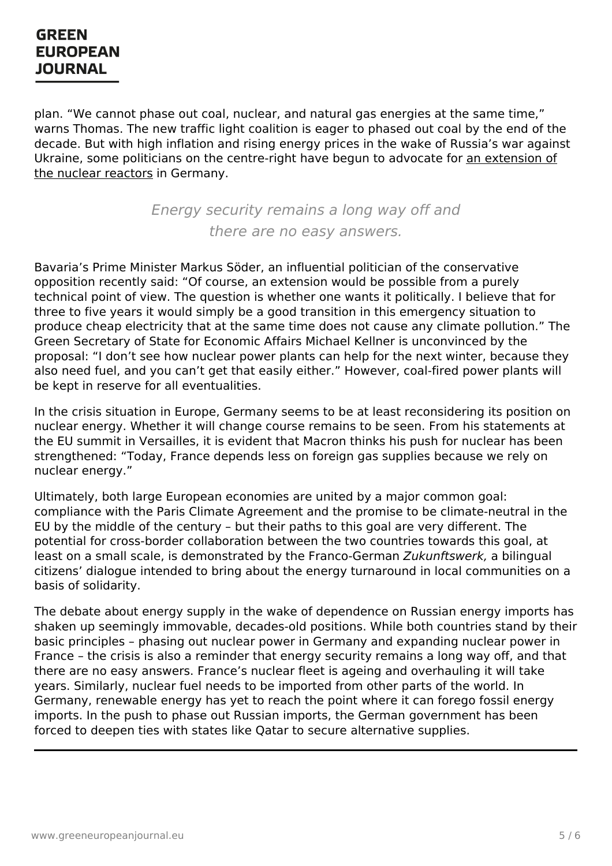plan. "We cannot phase out coal, nuclear, and natural gas energies at the same time," warns Thomas. The new traffic light coalition is eager to phased out coal by the end of the decade. But with high inflation and rising energy prices in the wake of Russia's war against Ukraine, some politicians on the [centre-right](https://www.politico.eu/article/politics-behind-germany-refusal-reconsider-nuclear-phaseout/) have begun to advocate for an extension of the nuclear reactors in Germany.

> Energy security remains a long way off and there are no easy answers.

Bavaria's Prime Minister Markus Söder, an influential politician of the conservative opposition recently said: "Of course, an extension would be possible from a purely technical point of view. The question is whether one wants it politically. I believe that for three to five years it would simply be a good transition in this emergency situation to produce cheap electricity that at the same time does not cause any climate pollution." The Green Secretary of State for Economic Affairs Michael Kellner is unconvinced by the proposal: "I don't see how nuclear power plants can help for the next winter, because they also need fuel, and you can't get that easily either." However, coal-fired power plants will be kept in reserve for all eventualities.

In the crisis situation in Europe, Germany seems to be at least reconsidering its position on nuclear energy. Whether it will change course remains to be seen. From his statements at the EU summit in Versailles, it is evident that Macron thinks his push for nuclear has been strengthened: "Today, France depends less on foreign gas supplies because we rely on nuclear energy."

Ultimately, both large European economies are united by a major common goal: compliance with the Paris Climate Agreement and the promise to be climate-neutral in the EU by the middle of the century – but their paths to this goal are very different. The potential for cross-border collaboration between the two countries towards this goal, at least on a small scale, is demonstrated by the Franco-German Zukunftswerk, a bilingual citizens' dialogue intended to bring about the energy turnaround in local communities on a basis of solidarity.

The debate about energy supply in the wake of dependence on Russian energy imports has shaken up seemingly immovable, decades-old positions. While both countries stand by their basic principles – phasing out nuclear power in Germany and expanding nuclear power in France – the crisis is also a reminder that energy security remains a long way off, and that there are no easy answers. France's nuclear fleet is ageing and overhauling it will take years. Similarly, nuclear fuel needs to be imported from other parts of the world. In Germany, renewable energy has yet to reach the point where it can forego fossil energy imports. In the push to phase out Russian imports, the German government has been forced to [deepen](https://www.greeneuropeanjournal.eu) ties with states like Qatar to secure alternative supplies.